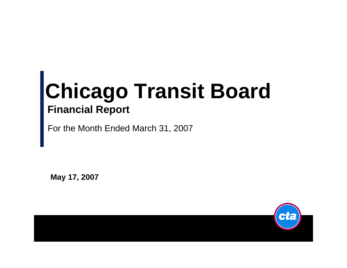## **Chicago Transit Board Financial Report**

For the Month Ended March 31, 2007

**May 17, 2007**

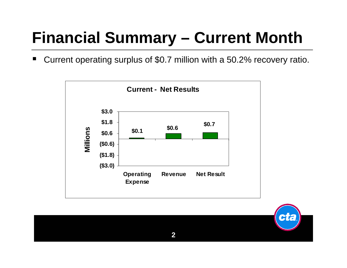### **Financial Summary – Current Month**

w Current operating surplus of \$0.7 million with a 50.2% recovery ratio.



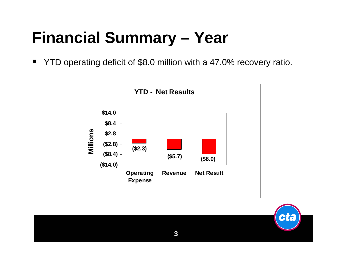### **Financial Summary – Year**

٠ YTD operating deficit of \$8.0 million with a 47.0% recovery ratio.



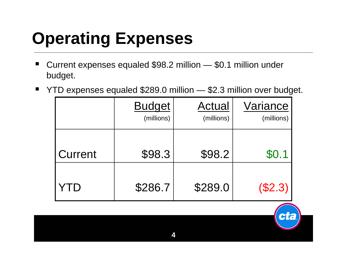# **Operating Expenses**

- × Current expenses equaled \$98.2 million — \$0.1 million under budget.
- $\blacksquare$ YTD expenses equaled \$289.0 million — \$2.3 million over budget.

|         | <b>Budget</b><br>(millions) | <b>Actual</b><br>(millions) | Variance<br>(millions) |
|---------|-----------------------------|-----------------------------|------------------------|
| Current | \$98.3                      | \$98.2                      | \$0.1                  |
|         | \$286.7                     | \$289.0                     | (\$2.3)                |

**City**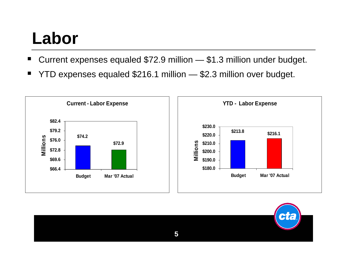## **Labor**

- ٠ Current expenses equaled \$72.9 million — \$1.3 million under budget.
- ٠ YTD expenses equaled \$216.1 million — \$2.3 million over budget.



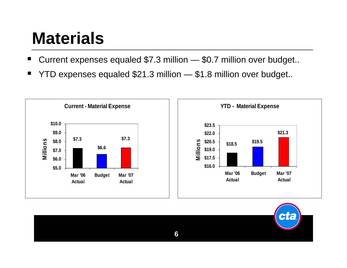## **Materials**

- ٠ Current expenses equaled \$7.3 million — \$0.7 million over budget..
- ٠ YTD expenses equaled \$21.3 million — \$1.8 million over budget..



**6**

CIE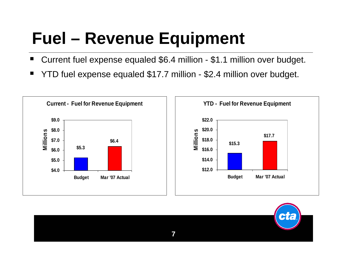## **Fuel – Revenue Equipment**

- H Current fuel expense equaled \$6.4 million - \$1.1 million over budget.
- ٠ YTD fuel expense equaled \$17.7 million - \$2.4 million over budget.



![](_page_6_Picture_4.jpeg)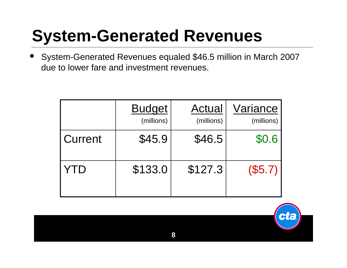### **System-Generated Revenues**

٠ System-Generated Revenues equaled \$46.5 million in March 2007 due to lower fare and investment revenues.

|         | <b>Budget</b><br>(millions) | <b>Actual</b><br>(millions) | Variance<br>(millions) |
|---------|-----------------------------|-----------------------------|------------------------|
| Current | \$45.9                      | \$46.5                      | \$0.6                  |
| YID     | \$133.0                     | \$127.3                     | (\$5.7)                |

![](_page_7_Picture_3.jpeg)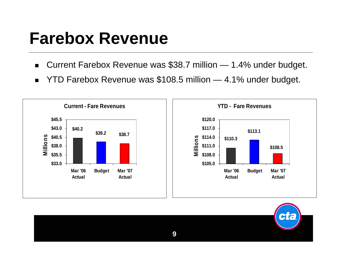#### **Farebox Revenue**

- $\mathbf{r}$ Current Farebox Revenue was \$38.7 million — 1.4% under budget.
- $\blacksquare$ YTD Farebox Revenue was \$108.5 million — 4.1% under budget.

![](_page_8_Figure_3.jpeg)

![](_page_8_Picture_4.jpeg)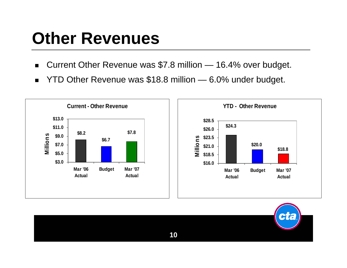## **Other Revenues**

- $\blacksquare$ Current Other Revenue was \$7.8 million — 16.4% over budget.
- $\blacksquare$ YTD Other Revenue was \$18.8 million — 6.0% under budget.

![](_page_9_Figure_3.jpeg)

**10**

 $H<sub>c</sub>$